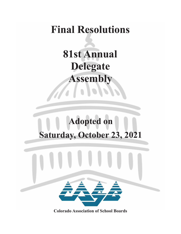## **Final Resolutions**

**81st Annual Delegate Assembly**

# **Adopted on Saturday, October 23, 2021**



**Colorado Association of School Boards**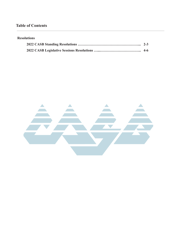## **Table of Contents**

### **Resolutions**

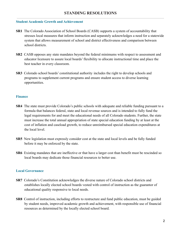## **STANDING RESOLUTIONS**

#### **Student Academic Growth and Achievement**

- **SR1** The Colorado Association of School Boards (CASB) supports a system of accountability that stresses local measures that inform instruction and separately acknowledges a need for a statewide system that allows measurement of school and district effectiveness and comparison between school districts.
- **SR2** CASB opposes any state mandates beyond the federal minimums with respect to assessment and educator licensure to assure local boards' flexibility to allocate instructional time and place the best teacher in every classroom.
- **SR3** Colorado school boards' constitutional authority includes the right to develop schools and programs to supplement current programs and ensure student access to diverse learning opportunities.

#### **Finance**

- **SR4** The state must provide Colorado's public schools with adequate and reliable funding pursuant to a formula that balances federal, state and local revenue sources and is intended to fully fund the legal requirements for and meet the educational needs of all Colorado students. Further, the state must increase the total annual appropriation of state special education funding by at least at the cost of inflation and caseload growth, to reduce unreimbursed special education expenditures at the local level.
- **SR5** New legislation must expressly consider cost at the state and local levels and be fully funded before it may be enforced by the state.
- **SR6** Existing mandates that are ineffective or that have a larger cost than benefit must be rescinded so local boards may dedicate those financial resources to better use.

#### **Local Governance**

- **SR7** Colorado's Constitution acknowledges the diverse nature of Colorado school districts and establishes locally elected school boards vested with control of instruction as the guarantor of educational quality responsive to local needs.
- **SR8** Control of instruction, including efforts to restructure and fund public education, must be guided by student needs, improved academic growth and achievement, with responsible use of financial resources as determined by the locally elected school board.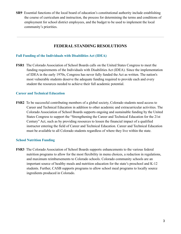**SR9** Essential functions of the local board of education's constitutional authority include establishing the course of curriculum and instruction, the process for determining the terms and conditions of employment for school district employees, and the budget to be used to implement the local community's priorities.

## **FEDERAL STANDING RESOLUTIONS**

#### **Full Funding of the Individuals with Disabilities Act (IDEA)**

**FSR1** The Colorado Association of School Boards calls on the United States Congress to meet the funding requirements of the Individuals with Disabilities Act (IDEA). Since the implementation of IDEA in the early 1970s, Congress has never fully funded the Act as written. The nation's most vulnerable students deserve the adequate funding required to provide each and every student the resources needed to achieve their full academic potential.

#### **Career and Technical Education**

**FSR2** To be successful contributing members of a global society, Colorado students need access to Career and Technical Education in addition to other academic and extracurricular activities. The Colorado Association of School Boards supports ongoing and sustainable funding by the United States Congress to support the "Strengthening the Career and Technical Education for the 21st Century" Act, such as by providing resources to lessen the financial impact of a qualified instructor entering the field of Career and Technical Education. Career and Technical Education must be available to all Colorado students regardless of where they live within the state.

#### **School Nutrition Funding**

**FSR3** The Colorado Association of School Boards supports enhancements to the various federal nutrition programs to allow for the most flexibility in menu choices, a reduction in regulations, and maximum reimbursements to Colorado schools. Colorado community schools are an important source of healthy meals and nutrition education for the state's preschool and K-12 students. Further, CASB supports programs to allow school meal programs to locally source ingredients produced in Colorado.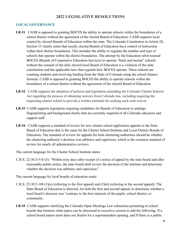## **2022 LEGISLATIVE RESOLUTIONS**

### **LOCAL GOVERNANCE**

- **LR #1** CASB is opposed to granting BOCES the ability to operate schools within the boundaries of a school district without the agreement of the elected Board of Education. CASB supports local control by elected Boards of Education within the state. The Colorado Constitution in Article IX, Section 15 clearly states that locally elected Boards of Education have control of instruction within their district boundaries. This includes the ability to regulate the number and type of schools that operate within the district boundaries. The attempt by the Education reEnvisioned BOCES (Boards of Cooperative Education Services) to operate "brick and mortar" schools without the consent of the duly elected local Board of Education is a violation of the state constitution and the applicable laws that regulate how BOCES operate. These schools are counting students and receiving funding from the State of Colorado using the school finance formula. CASB is opposed to granting BOCES the ability to operate schools within the boundaries of a school district without the agreement of the elected Board of Education.
- LR #2 CASB supports the adoption of policies and legislation amending the Colorado Charter Schools Act regarding the process of obtaining waivers from Colorado law, including requiring the requesting charter school to provide a written rationale for seeking each such waiver.
- **LR #3** CASB supports legislation requiring candidates for Boards of Education to undergo fingerprinting and background checks that are currently required of all Colorado educators and support staff
- **LR #4** CASB supports a standard of review for new charter school application appeals to the State Board of Education that is the same for the Charter School Institute and Local District Boards of Education. The standard of review for appeals for both chartering authorities should be whether the chartering authority's decision was arbitrary and capricious, which is the common standard of review for nearly all administrative reviews.

The current language for the Charter School Institute states:

C.R.S. 22-30.5-510 (5): "Within sixty days after receipt of a notice of appeal by the state board and after reasonable public notice, the state board shall review the decision of the institute and determine whether the decision was arbitrary and capricious."

The current language for local boards of education reads:

- C.R.S. 22-30.5-108 (3)(a) (referring to the first appeal) and (3)(d) (referring to the second appeal): The State Board of Education is directed, for both the first and second appeal, to determine whether a local board's decision was "contrary to the best interests of the pupils, school district, or community.
- **LR #5** CASB supports clarifying the Colorado Open Meetings Law subsection pertaining to school boards that itemizes what topics can be discussed in executive session to add the following: If a school board names more than one finalist for a superintendent opening, and If there is a public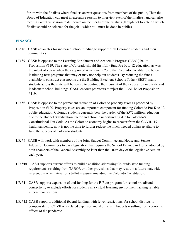forum with the finalists where finalists answer questions from members of the public, Then the Board of Education can meet in executive session to interview each of the finalists, and can also meet in executive session to deliberate on the merits of the finalists (though not to vote on which finalist should be selected for the job – which still must be done in public).

#### **FINANCE**

- **LR #6** CASB advocates for increased school funding to support rural Colorado students and their communities
- **LR #7** CASB is opposed to the Learning Enrichment and Academic Progress (LEAP) ballot Proposition #119. The state of Colorado should first fully fund Pre-K to 12 education, as was the intent of voters when they approved Amendment 23 to the Colorado Constitution, before instituting new programs that may or may not help our students. By reducing the funds available to construct classrooms via the Building Excellent Schools Today (BEST) many students across the state will be forced to continue their pursuit of their education in unsafe and inadequate school buildings. CASB encourages voters to reject the LEAP ballot Proposition #119.
- **LR #8** CASB is opposed to the permanent reduction of Colorado property taxes as proposed by Proposition #120. Property taxes are an important component for funding Colorado Pre-K to 12 public education. Colorado students currently bear the burden of the \$572 million reduction due to the Budget Stabilization Factor and chronic underfunding due to Colorado's Constitutional Tax Code. As the Colorado economy begins to recover from the COVID-19 health pandemic, now is not the time to further reduce the much-needed dollars available to fund the success of Colorado students.
- **LR #9** CASB will work with members of the Joint Budget Committee and House and Senate Education Committees to pass legislation that requires the School Finance Act to be adopted by both chambers of the General Assembly no later than the 100th day of the legislative session each year.
- **LR #10** CASB supports current efforts to build a coalition addressing Colorado state funding requirements resulting from TABOR or other provisions that may result in a future statewide referendum or initiative for a ballot measure amending the Colorado Constitution.
- **LR #11** CASB supports expansion of and funding for the E-Rate program for school broadband connectivity to include efforts for students in a virtual learning environment lacking reliable internet connections.
- **LR #12** CASB supports additional federal funding, with fewer restrictions, for school districts to compensate for COVID-19 related expenses and shortfalls in budgets resulting from economic effects of the pandemic.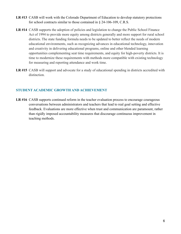- **LR #13** CASB will work with the Colorado Department of Education to develop statutory protections for school contracts similar to those contained in § 24-106-109, C.R.S.
- LR #14 CASB supports the adoption of policies and legislation to change the Public School Finance Act of 1994 to provide more equity among districts generally and more support for rural school districts. The state funding formula needs to be updated to better reflect the needs of modern educational environments, such as recognizing advances in educational technology, innovation and creativity in delivering educational programs, online and other blended learning opportunities complementing seat time requirements, and equity for high-poverty districts. It is time to modernize these requirements with methods more compatible with existing technology for measuring and reporting attendance and work time.
- **LR #15** CASB will support and advocate for a study of educational spending in districts accredited with distinction.

## **STUDENT ACADEMIC GROWTH AND ACHIEVEMENT**

LR #16 CASB supports continued reform in the teacher evaluation process to encourage courageous conversations between administrators and teachers that lead to real goal setting and effective feedback. Evaluations are more effective when trust and communication are paramount, rather than rigidly imposed accountability measures that discourage continuous improvement in teaching methods.